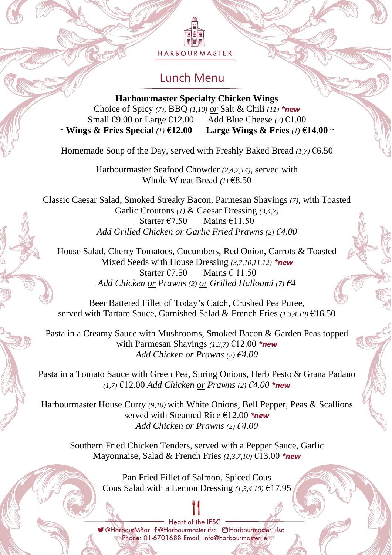HARBOURMASTER

# Lunch Menu

**Harbourmaster Specialty Chicken Wings** Choice of Spicy *(7)*, BBQ *(1,10) or* Salt & Chili *(11) \*new* Small €9.00 or Large €12.00 Add Blue Cheese *(7)* €1.00 ~ **Wings & Fries Special** *(1)* **€12.00 Large Wings & Fries** *(1)* **€14.00** ~

Homemade Soup of the Day, served with Freshly Baked Bread *(1,7)* €6.50

Harbourmaster Seafood Chowder *(2,4,7,14)*, served with Whole Wheat Bread *(1)* €8.50

Classic Caesar Salad, Smoked Streaky Bacon, Parmesan Shavings *(7)*, with Toasted Garlic Croutons *(1)* & Caesar Dressing *(3,4,7)* Starter €7.50 Mains  $€11.50$ *Add Grilled Chicken or Garlic Fried Prawns (2) €4.00*

House Salad, Cherry Tomatoes, Cucumbers, Red Onion, Carrots & Toasted Mixed Seeds with House Dressing *(3,7,10,11,12) \*new* Starter  $\epsilon$ 7.50 Mains  $\epsilon$  11.50 *Add Chicken or Prawns (2) or Grilled Halloumi (7) €4*

Beer Battered Fillet of Today's Catch, Crushed Pea Puree, served with Tartare Sauce, Garnished Salad & French Fries *(1,3,4,10)* €16.50

Pasta in a Creamy Sauce with Mushrooms, Smoked Bacon & Garden Peas topped with Parmesan Shavings *(1,3,7)* €12.00 *\*new Add Chicken or Prawns (2) €4.00*

Pasta in a Tomato Sauce with Green Pea, Spring Onions, Herb Pesto & Grana Padano *(1,7)* €12.00 *Add Chicken or Prawns (2) €4.00 \*new*

Harbourmaster House Curry *(9,10)* with White Onions, Bell Pepper, Peas & Scallions served with Steamed Rice €12.00 *\*new Add Chicken or Prawns (2) €4.00*

Southern Fried Chicken Tenders, served with a Pepper Sauce, Garlic Mayonnaise, Salad & French Fries *(1,3,7,10)* €13.00 *\*new*

> Pan Fried Fillet of Salmon, Spiced Cous Cous Salad with a Lemon Dressing *(1,3,4,10)* €17.95

Heart of the IFSC V@HarbourMBar f@Harbourmaster.ifsc @Harbourmaster ifsc Phone: 01-6701688 Email: info@harbourmaster/ie